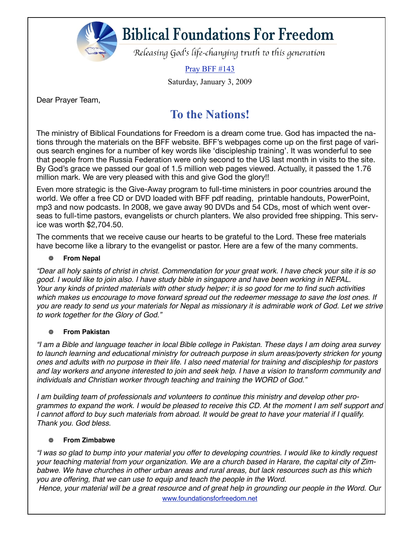

# **Biblical Foundations For Freedom**

Releasing God's life-changing truth to this generation

Pray BFF #143

Saturday, January 3, 2009

Dear Prayer Team,

### **To the Nations!**

The ministry of Biblical Foundations for Freedom is a dream come true. God has impacted the nations through the materials on the BFF website. BFF's webpages come up on the first page of various search engines for a number of key words like 'discipleship training'. It was wonderful to see that people from the Russia Federation were only second to the US last month in visits to the site. By God's grace we passed our goal of 1.5 million web pages viewed. Actually, it passed the 1.76 million mark. We are very pleased with this and give God the glory!!

Even more strategic is the Give-Away program to full-time ministers in poor countries around the world. We offer a free CD or DVD loaded with BFF pdf reading, printable handouts, PowerPoint, mp3 and now podcasts. In 2008, we gave away 90 DVDs and 54 CDs, most of which went overseas to full-time pastors, evangelists or church planters. We also provided free shipping. This service was worth \$2,704.50.

The comments that we receive cause our hearts to be grateful to the Lord. These free materials have become like a library to the evangelist or pastor. Here are a few of the many comments.

### 鱳 **From Nepal**

*"Dear all holy saints of christ in christ. Commendation for your great work. I have check your site it is so good. I would like to join also. I have study bible in singapore and have been working in NEPAL. Your any kinds of printed materials with other study helper; it is so good for me to find such activities which makes us encourage to move forward spread out the redeemer message to save the lost ones. If you are ready to send us your materials for Nepal as missionary it is admirable work of God. Let we strive to work together for the Glory of God."*

### **From Pakistan**

*"I am a Bible and language teacher in local Bible college in Pakistan. These days I am doing area survey to launch learning and educational ministry for outreach purpose in slum areas/poverty stricken for young ones and adults with no purpose in their life. I also need material for training and discipleship for pastors and lay workers and anyone interested to join and seek help. I have a vision to transform community and individuals and Christian worker through teaching and training the WORD of God."*

*I am building team of professionals and volunteers to continue this ministry and develop other programmes to expand the work. I would be pleased to receive this CD. At the moment I am self support and I cannot afford to buy such materials from abroad. It would be great to have your material if I qualify. Thank you. God bless.*

### **From Zimbabwe** ▒

*"I was so glad to bump into your material you offer to developing countries. I would like to kindly request your teaching material from your organization. We are a church based in Harare, the capital city of Zimbabwe. We have churches in other urban areas and rural areas, but lack resources such as this which you are offering, that we can use to equip and teach the people in the Word.*

*Hence, your material will be a great resource and of great help in grounding our people in the Word. Our*  www.foundationsforfreedom.net